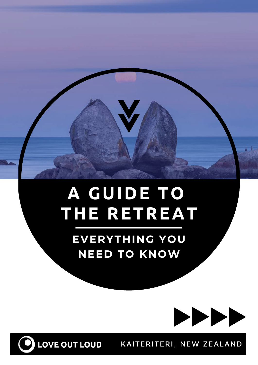

## **A GUIDE TO THE RETREAT**

**EVERYTHING YOU NEED TO KNOW**





KAITERITERI, NEW ZEALAND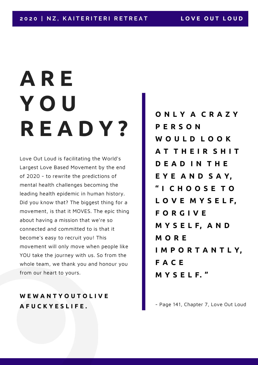# **A R E Y O U R E A D Y ?**

Love Out Loud is facilitating the World's Largest Love Based Movement by the end of 2020 - to rewrite the predictions of mental health challenges becoming the leading health epidemic in human history. Did you know that? The biggest thing for a movement, is that it MOVES. The epic thing about having a mission that we're so connected and committed to is that it become's easy to recruit you! This movement will only move when people like YOU take the journey with us. So from the whole team, we thank you and honour you from our heart to yours.

**W E W A N T Y O U T O L I V E A F U C K Y E S L I F E .**

**O N L Y A C R A Z Y P E R S O N W O U L D L O O K A T T H E I R S H I T D E A D I N T H E E Y E A N D S A Y, " I C H O O S E T O L O V E M Y S E L F, F O R G I V E M Y S E L F, A N D M O R E I M P O R T A N T L Y, F A C E M Y S E L F. "**

- Page 141, Chapter 7, Love Out Loud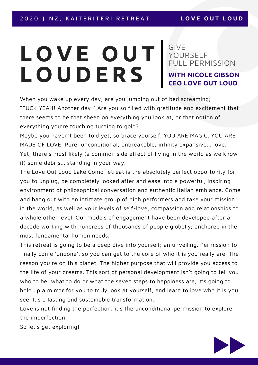### **L O V E O U T L O U D E R S WITH NICOLE GIBSON CEO LOVE OUT LOUD** GIVE YOURSELF FULL PERMISSION

When you wake up every day, are you jumping out of bed screaming; "FUCK YEAH! Another day!" Are you so filled with gratitude and excitement that there seems to be that sheen on everything you look at, or that notion of everything you're touching turning to gold?

Maybe you haven't been told yet, so brace yourself. YOU ARE MAGIC. YOU ARE MADE OF LOVE. Pure, unconditional, unbreakable, infinity expansive... love. Yet, there's most likely (a common side effect of living in the world as we know it) some debris... standing in your way.

The Love Out Loud Lake Como retreat is the absolutely perfect opportunity for you to unplug, be completely looked after and ease into a powerful, inspiring environment of philosophical conversation and authentic Italian ambiance. Come and hang out with an intimate group of high performers and take your mission in the world, as well as your levels of self-love, compassion and relationships to a whole other level. Our models of engagement have been developed after a decade working with hundreds of thousands of people globally; anchored in the most fundamental human needs.

This retreat is going to be a deep dive into yourself; an unveiling. Permission to finally come 'undone', so you can get to the core of who it is you really are. The reason you're on this planet. The higher purpose that will provide you access to the life of your dreams. This sort of personal development isn't going to tell you who to be, what to do or what the seven steps to happiness are; it's going to hold up a mirror for you to truly look at yourself, and learn to love who it is you see. It's a lasting and sustainable transformation..

Love is not finding the perfection, it's the unconditional permission to explore the imperfection.

So let's get exploring!

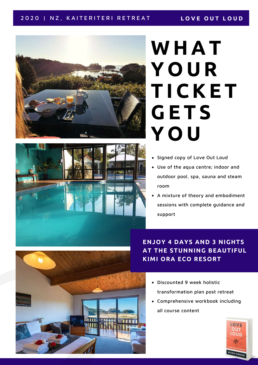





- Signed copy of Love Out Loud
- Use of the aqua centre; indoor and outdoor pool, spa, sauna and steam room
- A mixture of theory and embodiment sessions with complete guidance and support

### **ENJOY 4 DAYS AND 3 NIGHTS AT THE STUNNING BEAUTIFUL KIMI ORA ECO RESORT**



- Discounted 9 week holistic transformation plan post retreat
- Comprehensive workbook including all course content

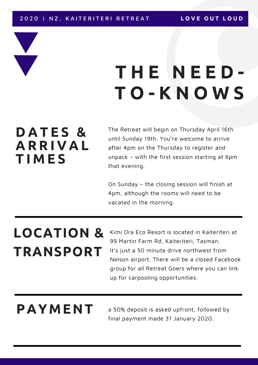# **T H E N E E D - T O - K N O W S**

### **D A T E S & A R R I V A L T I M E S**

The Retreat will begin on Thursday April 16th until Sunday 19th. You're welcome to arrive after 4pm on the Thursday to register and unpack – with the first session starting at 6pm that evening.

On Sunday – the closing session will finish at 4pm, although the rooms will need to be vacated in the morning.

## **LOCATION & TRANSPORT**

Kimi Ora Eco Resort is located in Kaiteriteri at 99 Martin Farm Rd, Kaiteriteri, Tasman. It's just a 50 minute drive northwest from Nelson airport. There will be a closed Facebook group for all Retreat Goers where you can link up for carpooling opportunities.

PAYMENT a 50% deposit is asked upfront, followed by final payment made 31 January 2020.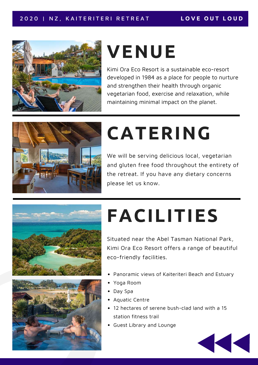### **L O V E O U T L O U D**



# **VENUE**

Kimi Ora Eco Resort is a sustainable eco-resort developed in 1984 as a place for people to nurture and strengthen their health through organic vegetarian food, exercise and relaxation, while maintaining minimal impact on the planet.



# **CATERING**

We will be serving delicious local, vegetarian and gluten free food throughout the entirety of the retreat. If you have any dietary concerns please let us know.





# **FACILITIES**

Situated near the Abel Tasman National Park, Kimi Ora Eco Resort offers a range of beautiful eco-friendly facilities.

- Panoramic views of Kaiteriteri Beach and Estuary
- Yoga Room
- Day Spa
- Aquatic Centre
- 12 hectares of serene bush-clad land with a 15 station fitness trail
- Guest Library and Lounge

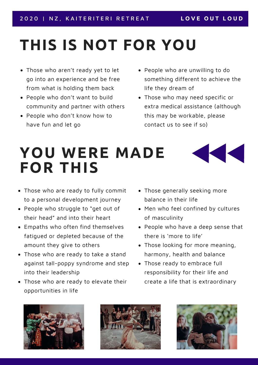## **THIS IS NOT FOR YOU**

- Those who aren't ready yet to let go into an experience and be free from what is holding them back
- People who don't want to build community and partner with others
- People who don't know how to have fun and let go
- People who are unwilling to do something different to achieve the life they dream of
- Those who may need specific or extra medical assistance (although this may be workable, please contact us to see if so)

### **YOU WERE MADE FOR THIS**



- Those who are ready to fully commit to a personal development journey
- People who struggle to "get out of their head" and into their heart
- Empaths who often find themselves fatigued or depleted because of the amount they give to others
- Those who are ready to take a stand against tall-poppy syndrome and step into their leadership
- Those who are ready to elevate their opportunities in life
- Those generally seeking more balance in their life
- Men who feel confined by cultures of masculinity
- People who have a deep sense that there is 'more to life'
- Those looking for more meaning, harmony, health and balance
- Those ready to embrace full responsibility for their life and create a life that is extraordinary





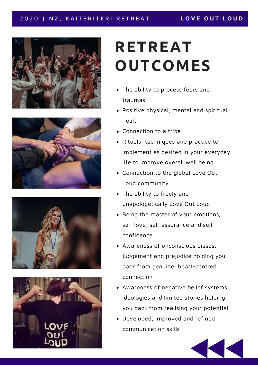







## **RETREAT OUTCOMES**

- The ability to process fears and traumas
- Positive physical, mental and spiritual health
- Connection to a tribe
- Rituals, techniques and practice to implement as desired in your everyday life to improve overall well being
- Connection to the global Love Out Loud community
- The ability to freely and unapologetically Love Out Loud!
- Being the master of your emotions; self love, self assurance and self confidence
- Awareness of unconscious biases, judgement and prejudice holding you back from genuine, heart-centred connection
- Awareness of negative belief systems, ideologies and limited stories holding you back from realising your potential
- Developed, improved and refined communication skills

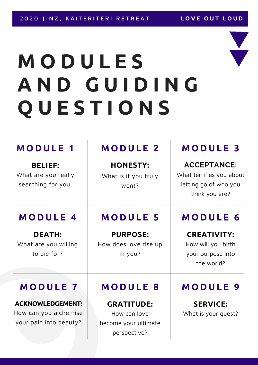# **M O D U L E S A N D G U I D I N G Q U E S T I O N S**

### **M O D U L E 1**

**BELIEF:** What are you really searching for you.

### **M O D U L E 4**

**DEATH:** What are you willing to die for?

### **M O D U L E 7**

**ACKNOWLEDGEMENT:** How can you alchemise your pain into beauty?

**HONESTY:** What is it you truly want?

**PURPOSE:** How does love rise up in you?

### **M O D U L E 8**

**GRATITUDE:** How can love become your ultimate perspective?

### **M O D U L E 2 M O D U L E 3**

### **ACCEPTANCE:**

What terrifies you about letting go of who you think you are?

### **M O D U L E 5 M O D U L E 6**

**CREATIVITY:** How will you birth your purpose into the world?

### **M O D U L E 9**

**SERVICE:** What is your quest?